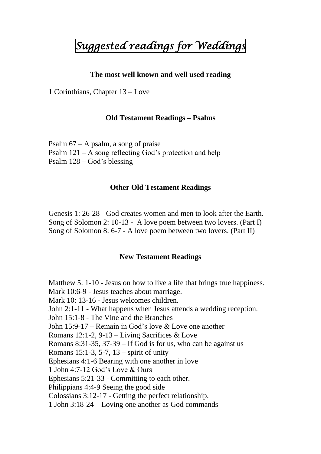# *Suggested readings for Weddings*

#### **The most well known and well used reading**

1 Corinthians, Chapter 13 – Love

#### **Old Testament Readings – Psalms**

Psalm  $67 - A$  psalm, a song of praise Psalm 121 – A song reflecting God's protection and help Psalm 128 – God's blessing

#### **Other Old Testament Readings**

Genesis 1: 26-28 - God creates women and men to look after the Earth. Song of Solomon 2: 10-13 - A love poem between two lovers. (Part I) Song of Solomon 8: 6-7 - A love poem between two lovers. (Part II)

#### **New Testament Readings**

Matthew 5: 1-10 - Jesus on how to live a life that brings true happiness. Mark 10:6-9 - Jesus teaches about marriage. Mark 10: 13-16 - Jesus welcomes children. John 2:1-11 - What happens when Jesus attends a wedding reception. John 15:1-8 - The Vine and the Branches John 15:9-17 – Remain in God's love & Love one another Romans 12:1-2, 9-13 – Living Sacrifices & Love Romans 8:31-35, 37-39 – If God is for us, who can be against us Romans 15:1-3, 5-7, 13 – spirit of unity Ephesians 4:1-6 Bearing with one another in love 1 John 4:7-12 God's Love & Ours Ephesians 5:21-33 - Committing to each other. Philippians 4:4-9 Seeing the good side Colossians 3:12-17 - Getting the perfect relationship. 1 John 3:18-24 – Loving one another as God commands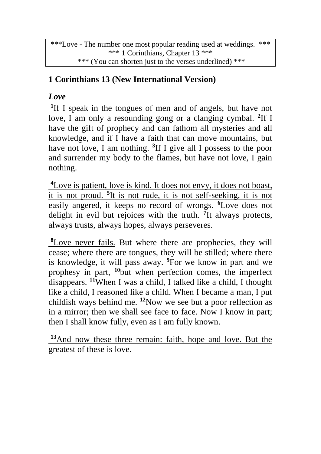\*\*\*Love - The number one most popular reading used at weddings. \*\*\* \*\*\* [1 Corinthians, Chapter 13](http://www.biblegateway.com/passage/?search=1%20Corinthians%2013;&version=31;) \*\*\* \*\*\* (You can shorten just to the verses underlined) \*\*\*

# **1 Corinthians 13 (New International Version)**

# *Love*

<sup>1</sup>If I speak in the tongues of men and of angels, but have not love, I am only a resounding gong or a clanging cymbal. <sup>2</sup>If I have the gift of prophecy and can fathom all mysteries and all knowledge, and if I have a faith that can move mountains, but have not love, I am nothing. <sup>3</sup>If I give all I possess to the poor and surrender my body to the flames, but have not love, I gain nothing.

**<sup>4</sup>**Love is patient, love is kind. It does not envy, it does not boast, it is not proud. **<sup>5</sup>** It is not rude, it is not self-seeking, it is not easily angered, it keeps no record of wrongs. **<sup>6</sup>**Love does not delight in evil but rejoices with the truth. <sup>7</sup>It always protects, always trusts, always hopes, always perseveres.

**<sup>8</sup>**Love never fails. But where there are prophecies, they will cease; where there are tongues, they will be stilled; where there is knowledge, it will pass away. **<sup>9</sup>**For we know in part and we prophesy in part, **<sup>10</sup>**but when perfection comes, the imperfect disappears. **<sup>11</sup>**When I was a child, I talked like a child, I thought like a child, I reasoned like a child. When I became a man, I put childish ways behind me. **<sup>12</sup>**Now we see but a poor reflection as in a mirror; then we shall see face to face. Now I know in part; then I shall know fully, even as I am fully known.

**<sup>13</sup>**And now these three remain: faith, hope and love. But the greatest of these is love.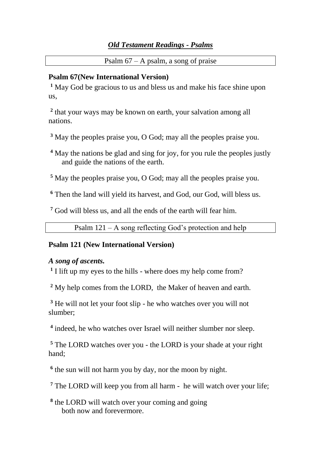Psalm 67 – A psalm, a song of praise

# **Psalm 67(New International Version)**

**<sup>1</sup>** May God be gracious to us and bless us and make his face shine upon us,

**2** that your ways may be known on earth, your salvation among all nations.

**<sup>3</sup>** May the peoples praise you, O God; may all the peoples praise you.

**<sup>4</sup>** May the nations be glad and sing for joy, for you rule the peoples justly and guide the nations of the earth.

**<sup>5</sup>** May the peoples praise you, O God; may all the peoples praise you.

**<sup>6</sup>** Then the land will yield its harvest, and God, our God, will bless us.

**<sup>7</sup>** God will bless us, and all the ends of the earth will fear him.

Psalm 121 – A song reflecting God's protection and help

# **Psalm 121 (New International Version)**

# *A song of ascents.*

**1** I lift up my eyes to the hills - where does my help come from?

**<sup>2</sup>** My help comes from the LORD, the Maker of heaven and earth.

**<sup>3</sup>** He will not let your foot slip - he who watches over you will not slumber;

<sup>4</sup> indeed, he who watches over Israel will neither slumber nor sleep.

**<sup>5</sup>** The LORD watches over you - the LORD is your shade at your right hand;

**6** the sun will not harm you by day, nor the moon by night.

**<sup>7</sup>** The LORD will keep you from all harm - he will watch over your life;

**8** the LORD will watch over your coming and going both now and forevermore.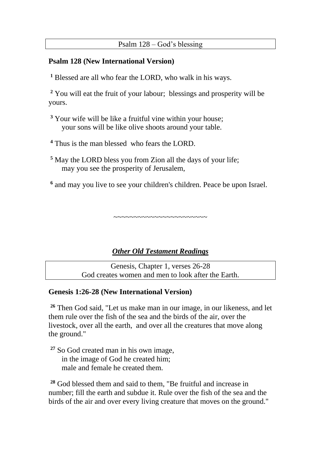#### **Psalm 128 (New International Version)**

**<sup>1</sup>** Blessed are all who fear the LORD, who walk in his ways.

**<sup>2</sup>** You will eat the fruit of your labour; blessings and prosperity will be yours.

- **<sup>3</sup>** Your wife will be like a fruitful vine within your house; your sons will be like olive shoots around your table.
- **<sup>4</sup>** Thus is the man blessed who fears the LORD.
- **<sup>5</sup>** May the LORD bless you from Zion all the days of your life; may you see the prosperity of Jerusalem,
- **6** and may you live to see your children's children. Peace be upon Israel.

~~~~~~~~~~~~~~~~~~~~~~~

#### *Other Old Testament Readings*

[Genesis, Chapter 1, verses 26-28](http://www.biblegateway.com/passage/?search=Genesis%201:26-28&version=31) God creates women and men to look after the Earth.

#### **Genesis 1:26-28 (New International Version)**

**<sup>26</sup>** Then God said, "Let us make man in our image, in our likeness, and let them rule over the fish of the sea and the birds of the air, over the livestock, over all the earth, and over all the creatures that move along the ground."

**<sup>27</sup>** So God created man in his own image, in the image of God he created him; male and female he created them.

**<sup>28</sup>** God blessed them and said to them, "Be fruitful and increase in number; fill the earth and subdue it. Rule over the fish of the sea and the birds of the air and over every living creature that moves on the ground."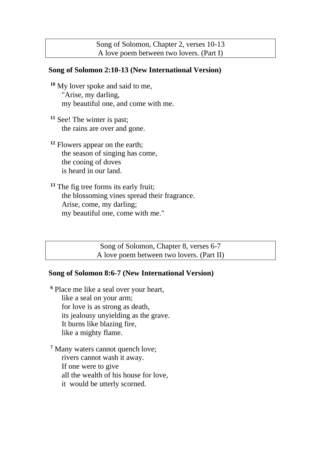#### [Song of Solomon, Chapter 2, verses 10-13](http://www.biblegateway.com/passage/?search=Song%20of%20Solomon%202:%2010-13;&version=31;) A love poem between two lovers. (Part I)

#### **Song of Solomon 2:10-13 (New International Version)**

**<sup>10</sup>** My lover spoke and said to me, "Arise, my darling, my beautiful one, and come with me.

**<sup>11</sup>** See! The winter is past; the rains are over and gone.

**<sup>12</sup>** Flowers appear on the earth; the season of singing has come, the cooing of doves is heard in our land.

**<sup>13</sup>** The fig tree forms its early fruit; the blossoming vines spread their fragrance. Arise, come, my darling; my beautiful one, come with me."

> Song of Solomon, Chapter 8, verses 6-7 A love poem between two lovers. (Part II)

#### **Song of Solomon 8:6-7 (New International Version)**

**<sup>6</sup>** Place me like a seal over your heart, like a seal on your arm; for love is as strong as death, its jealousy unyielding as the grave. It burns like blazing fire, like a mighty flame.

**<sup>7</sup>** Many waters cannot quench love;

rivers cannot wash it away.

If one were to give

all the wealth of his house for love,

it would be utterly scorned.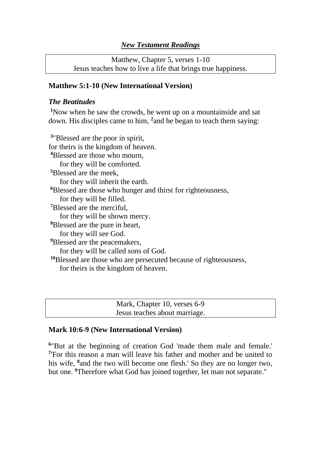### *New Testament Readings*

Matthew, Chapter 5, verses 1-10 Jesus teaches how to live a life that brings true happiness.

#### **Matthew 5:1-10 (New International Version)**

#### *The Beatitudes*

**<sup>1</sup>**Now when he saw the crowds, he went up on a mountainside and sat down. His disciples came to him, **<sup>2</sup>** and he began to teach them saying:

**3** "Blessed are the poor in spirit, for theirs is the kingdom of heaven. **<sup>4</sup>**Blessed are those who mourn, for they will be comforted. **<sup>5</sup>**Blessed are the meek, for they will inherit the earth. **<sup>6</sup>**Blessed are those who hunger and thirst for righteousness, for they will be filled. **<sup>7</sup>**Blessed are the merciful, for they will be shown mercy. **<sup>8</sup>**Blessed are the pure in heart, for they will see God. **<sup>9</sup>**Blessed are the peacemakers, for they will be called sons of God. **<sup>10</sup>**Blessed are those who are persecuted because of righteousness, for theirs is the kingdom of heaven.

| Mark, Chapter 10, verses 6-9  |
|-------------------------------|
| Jesus teaches about marriage. |

#### **Mark 10:6-9 (New International Version)**

**6** "But at the beginning of creation God 'made them male and female.' <sup>7</sup>'For this reason a man will leave his father and mother and be united to his wife, **<sup>8</sup>** and the two will become one flesh.' So they are no longer two, but one. **9**Therefore what God has joined together, let man not separate."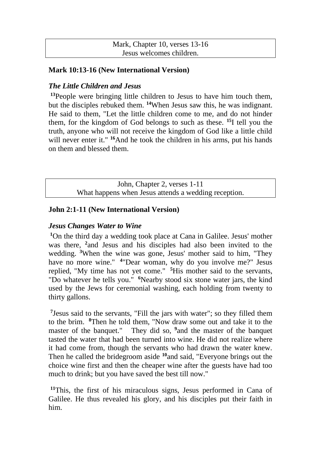#### Mark, Chapter 10, verses 13-16 Jesus welcomes children.

#### **Mark 10:13-16 (New International Version)**

#### *The Little Children and Jesus*

**<sup>13</sup>**People were bringing little children to Jesus to have him touch them, but the disciples rebuked them. **<sup>14</sup>**When Jesus saw this, he was indignant. He said to them, "Let the little children come to me, and do not hinder them, for the kingdom of God belongs to such as these. **<sup>15</sup>**I tell you the truth, anyone who will not receive the kingdom of God like a little child will never enter it." <sup>16</sup>And he took the children in his arms, put his hands on them and blessed them.

| John, Chapter 2, verses 1-11                         |  |
|------------------------------------------------------|--|
| What happens when Jesus attends a wedding reception. |  |

#### **John 2:1-11 (New International Version)**

#### *Jesus Changes Water to Wine*

**<sup>1</sup>**On the third day a wedding took place at Cana in Galilee. Jesus' mother was there, **<sup>2</sup>** and Jesus and his disciples had also been invited to the wedding. **<sup>3</sup>**When the wine was gone, Jesus' mother said to him, "They have no more wine." **<sup>4</sup>** "Dear woman, why do you involve me?" Jesus replied, "My time has not yet come." **<sup>5</sup>**His mother said to the servants, "Do whatever he tells you." **<sup>6</sup>**Nearby stood six stone water jars, the kind used by the Jews for ceremonial washing, each holding from twenty to thirty gallons.

<sup>7</sup> Jesus said to the servants, "Fill the jars with water"; so they filled them to the brim. **<sup>8</sup>**Then he told them, "Now draw some out and take it to the master of the banquet." They did so, <sup>9</sup> and the master of the banquet tasted the water that had been turned into wine. He did not realize where it had come from, though the servants who had drawn the water knew. Then he called the bridegroom aside **<sup>10</sup>**and said, "Everyone brings out the choice wine first and then the cheaper wine after the guests have had too much to drink; but you have saved the best till now."

**<sup>11</sup>**This, the first of his miraculous signs, Jesus performed in Cana of Galilee. He thus revealed his glory, and his disciples put their faith in him.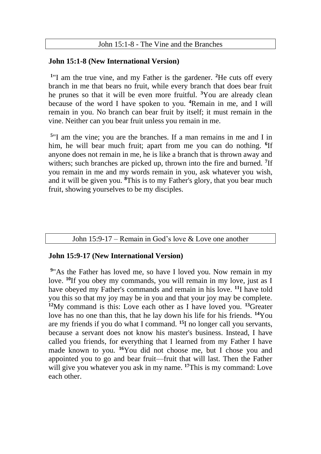#### **John 15:1-8 (New International Version)**

<sup>1</sup>"I am the true vine, and my Father is the gardener. <sup>2</sup>He cuts off every branch in me that bears no fruit, while every branch that does bear fruit he prunes so that it will be even more fruitful. **<sup>3</sup>**You are already clean because of the word I have spoken to you. **<sup>4</sup>**Remain in me, and I will remain in you. No branch can bear fruit by itself; it must remain in the vine. Neither can you bear fruit unless you remain in me.

**5** "I am the vine; you are the branches. If a man remains in me and I in him, he will bear much fruit; apart from me you can do nothing. **<sup>6</sup>** If anyone does not remain in me, he is like a branch that is thrown away and withers; such branches are picked up, thrown into the fire and burned. **<sup>7</sup>** If you remain in me and my words remain in you, ask whatever you wish, and it will be given you. <sup>8</sup>This is to my Father's glory, that you bear much fruit, showing yourselves to be my disciples.

#### John 15:9-17 – Remain in God's love & Love one another

#### **John 15:9-17 (New International Version)**

<sup>9</sup> As the Father has loved me, so have I loved you. Now remain in my love. **<sup>10</sup>**If you obey my commands, you will remain in my love, just as I have obeyed my Father's commands and remain in his love. **<sup>11</sup>**I have told you this so that my joy may be in you and that your joy may be complete. **<sup>12</sup>**My command is this: Love each other as I have loved you. **<sup>13</sup>**Greater love has no one than this, that he lay down his life for his friends. **<sup>14</sup>**You are my friends if you do what I command. **<sup>15</sup>**I no longer call you servants, because a servant does not know his master's business. Instead, I have called you friends, for everything that I learned from my Father I have made known to you. **<sup>16</sup>**You did not choose me, but I chose you and appointed you to go and bear fruit—fruit that will last. Then the Father will give you whatever you ask in my name. **<sup>17</sup>**This is my command: Love each other.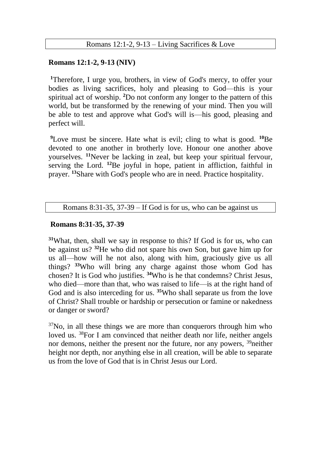#### **Romans 12:1-2, 9-13 (NIV)**

**<sup>1</sup>**Therefore, I urge you, brothers, in view of God's mercy, to offer your bodies as living sacrifices, holy and pleasing to God—this is your spiritual act of worship. **<sup>2</sup>**Do not conform any longer to the pattern of this world, but be transformed by the renewing of your mind. Then you will be able to test and approve what God's will is—his good, pleasing and perfect will.

**<sup>9</sup>**Love must be sincere. Hate what is evil; cling to what is good. **<sup>10</sup>**Be devoted to one another in brotherly love. Honour one another above yourselves. **<sup>11</sup>**Never be lacking in zeal, but keep your spiritual fervour, serving the Lord. **<sup>12</sup>**Be joyful in hope, patient in affliction, faithful in prayer. **<sup>13</sup>**Share with God's people who are in need. Practice hospitality.

Romans 8:31-35, 37-39 – If God is for us, who can be against us

#### **Romans 8:31-35, 37-39**

**<sup>31</sup>**What, then, shall we say in response to this? If God is for us, who can be against us? **<sup>32</sup>**He who did not spare his own Son, but gave him up for us all—how will he not also, along with him, graciously give us all things? **<sup>33</sup>**Who will bring any charge against those whom God has chosen? It is God who justifies. **<sup>34</sup>**Who is he that condemns? Christ Jesus, who died—more than that, who was raised to life—is at the right hand of God and is also interceding for us. **<sup>35</sup>**Who shall separate us from the love of Christ? Shall trouble or hardship or persecution or famine or nakedness or danger or sword?

 $37$ No, in all these things we are more than conquerors through him who loved us. <sup>38</sup>For I am convinced that neither death nor life, neither angels nor demons, neither the present nor the future, nor any powers, <sup>39</sup>neither height nor depth, nor anything else in all creation, will be able to separate us from the love of God that is in Christ Jesus our Lord.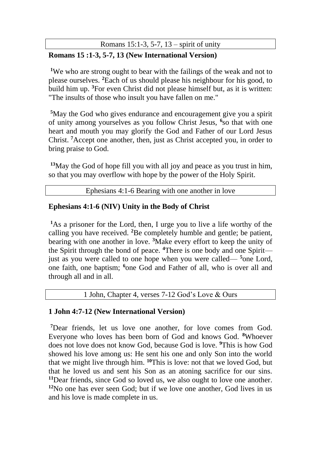Romans 15:1-3, 5-7, 13 – spirit of unity

#### **Romans 15 :1-3, 5-7, 13 (New International Version)**

**<sup>1</sup>**We who are strong ought to bear with the failings of the weak and not to please ourselves. **<sup>2</sup>**Each of us should please his neighbour for his good, to build him up. **<sup>3</sup>**For even Christ did not please himself but, as it is written: "The insults of those who insult you have fallen on me."

**<sup>5</sup>**May the God who gives endurance and encouragement give you a spirit of unity among yourselves as you follow Christ Jesus, **<sup>6</sup>** so that with one heart and mouth you may glorify the God and Father of our Lord Jesus Christ. **<sup>7</sup>**Accept one another, then, just as Christ accepted you, in order to bring praise to God.

**<sup>13</sup>**May the God of hope fill you with all joy and peace as you trust in him, so that you may overflow with hope by the power of the Holy Spirit.

Ephesians 4:1-6 Bearing with one another in love

#### **Ephesians 4:1-6 (NIV) Unity in the Body of Christ**

**<sup>1</sup>**As a prisoner for the Lord, then, I urge you to live a life worthy of the calling you have received. **<sup>2</sup>**Be completely humble and gentle; be patient, bearing with one another in love. **<sup>3</sup>**Make every effort to keep the unity of the Spirit through the bond of peace. **<sup>4</sup>**There is one body and one Spirit just as you were called to one hope when you were called— **<sup>5</sup>**one Lord, one faith, one baptism; **<sup>6</sup>**one God and Father of all, who is over all and through all and in all.

#### 1 John, Chapter 4, verses 7-12 God's Love & Ours

#### **1 John 4:7-12 (New International Version)**

**<sup>7</sup>**Dear friends, let us love one another, for love comes from God. Everyone who loves has been born of God and knows God. **<sup>8</sup>**Whoever does not love does not know God, because God is love. **<sup>9</sup>**This is how God showed his love among us: He sent his one and only Son into the world that we might live through him. **<sup>10</sup>**This is love: not that we loved God, but that he loved us and sent his Son as an atoning sacrifice for our sins. **<sup>11</sup>**Dear friends, since God so loved us, we also ought to love one another. **<sup>12</sup>**No one has ever seen God; but if we love one another, God lives in us and his love is made complete in us.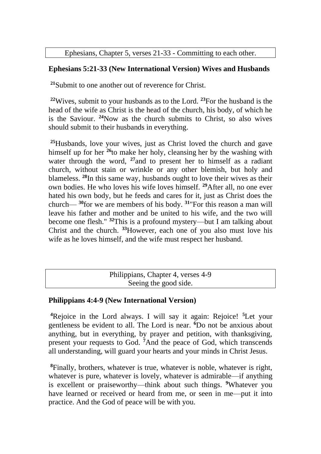[Ephesians, Chapter 5, verses 21-33](http://www.biblegateway.com/passage/?search=Ephesians%205:%2021-33;&version=31;) - Committing to each other.

#### **Ephesians 5:21-33 (New International Version) Wives and Husbands**

**<sup>21</sup>**Submit to one another out of reverence for Christ.

**<sup>22</sup>**Wives, submit to your husbands as to the Lord. **<sup>23</sup>**For the husband is the head of the wife as Christ is the head of the church, his body, of which he is the Saviour. **<sup>24</sup>**Now as the church submits to Christ, so also wives should submit to their husbands in everything.

**<sup>25</sup>**Husbands, love your wives, just as Christ loved the church and gave himself up for her **<sup>26</sup>**to make her holy, cleansing her by the washing with water through the word, <sup>27</sup>and to present her to himself as a radiant church, without stain or wrinkle or any other blemish, but holy and blameless. **<sup>28</sup>**In this same way, husbands ought to love their wives as their own bodies. He who loves his wife loves himself. **<sup>29</sup>**After all, no one ever hated his own body, but he feeds and cares for it, just as Christ does the church— **<sup>30</sup>**for we are members of his body. **<sup>31</sup>**"For this reason a man will leave his father and mother and be united to his wife, and the two will become one flesh." **<sup>32</sup>**This is a profound mystery—but I am talking about Christ and the church. **<sup>33</sup>**However, each one of you also must love his wife as he loves himself, and the wife must respect her husband.

```
Philippians, Chapter 4, verses 4-9
Seeing the good side.
```
#### **Philippians 4:4-9 (New International Version)**

**<sup>4</sup>**Rejoice in the Lord always. I will say it again: Rejoice! **<sup>5</sup>**Let your gentleness be evident to all. The Lord is near. **<sup>6</sup>**Do not be anxious about anything, but in everything, by prayer and petition, with thanksgiving, present your requests to God. **<sup>7</sup>**And the peace of God, which transcends all understanding, will guard your hearts and your minds in Christ Jesus.

**<sup>8</sup>**Finally, brothers, whatever is true, whatever is noble, whatever is right, whatever is pure, whatever is lovely, whatever is admirable—if anything is excellent or praiseworthy—think about such things. **<sup>9</sup>**Whatever you have learned or received or heard from me, or seen in me—put it into practice. And the God of peace will be with you.